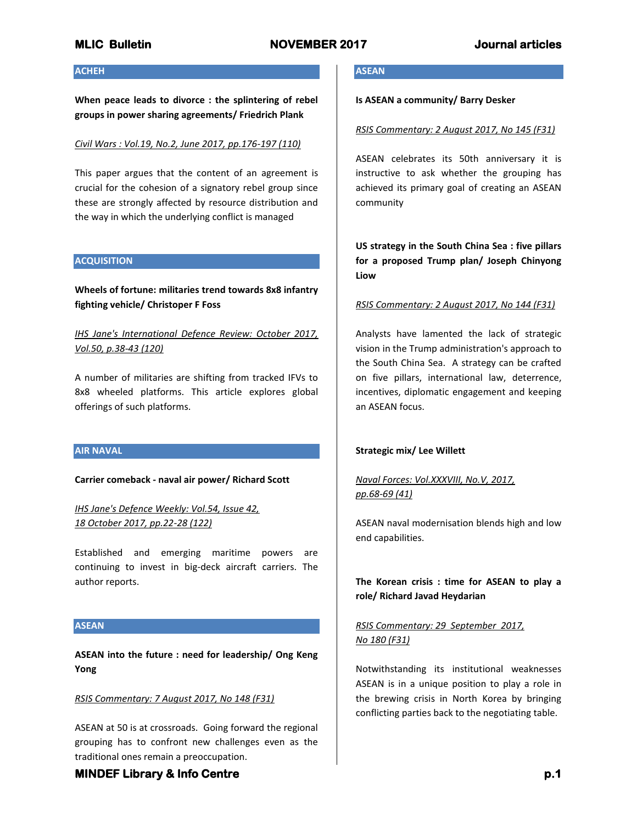### **ACHEH**

**When peace leads to divorce : the splintering of rebel groups in power sharing agreements/ Friedrich Plank**

### *Civil Wars : Vol.19, No.2, June 2017, pp.176-197 (110)*

This paper argues that the content of an agreement is crucial for the cohesion of a signatory rebel group since these are strongly affected by resource distribution and the way in which the underlying conflict is managed

### **ACQUISITION**

**Wheels of fortune: militaries trend towards 8x8 infantry fighting vehicle/ Christoper F Foss**

*IHS Jane's International Defence Review: October 2017, Vol.50, p.38-43 (120)*

A number of militaries are shifting from tracked IFVs to 8x8 wheeled platforms. This article explores global offerings of such platforms.

## **AIR NAVAL**

**Carrier comeback - naval air power/ Richard Scott**

*IHS Jane's Defence Weekly: Vol.54, Issue 42, 18 October 2017, pp.22-28 (122)*

Established and emerging maritime powers are continuing to invest in big-deck aircraft carriers. The author reports.

#### **ASEAN**

**ASEAN into the future : need for leadership/ Ong Keng Yong**

### *RSIS Commentary: 7 August 2017, No 148 (F31)*

ASEAN at 50 is at crossroads. Going forward the regional grouping has to confront new challenges even as the traditional ones remain a preoccupation.

### **ASEAN**

#### **Is ASEAN a community/ Barry Desker**

#### *RSIS Commentary: 2 August 2017, No 145 (F31)*

ASEAN celebrates its 50th anniversary it is instructive to ask whether the grouping has achieved its primary goal of creating an ASEAN community

**US strategy in the South China Sea : five pillars for a proposed Trump plan/ Joseph Chinyong Liow**

#### *RSIS Commentary: 2 August 2017, No 144 (F31)*

Analysts have lamented the lack of strategic vision in the Trump administration's approach to the South China Sea. A strategy can be crafted on five pillars, international law, deterrence, incentives, diplomatic engagement and keeping an ASEAN focus.

#### **Strategic mix/ Lee Willett**

*Naval Forces: Vol.XXXVIII, No.V, 2017, pp.68-69 (41)* 

ASEAN naval modernisation blends high and low end capabilities.

**The Korean crisis : time for ASEAN to play a role/ Richard Javad Heydarian**

## *RSIS Commentary: 29 September 2017, No 180 (F31)*

Notwithstanding its institutional weaknesses ASEAN is in a unique position to play a role in the brewing crisis in North Korea by bringing conflicting parties back to the negotiating table.

## **MINDEF Library & Info Centre p.1** *p.1* **<b>p.1**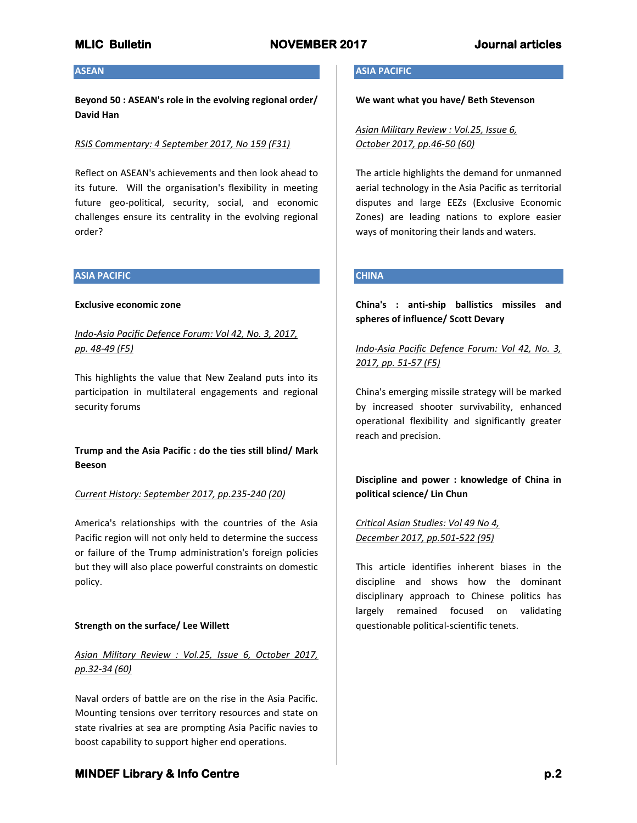### **ASEAN**

**Beyond 50 : ASEAN's role in the evolving regional order/ David Han**

### *RSIS Commentary: 4 September 2017, No 159 (F31)*

Reflect on ASEAN's achievements and then look ahead to its future. Will the organisation's flexibility in meeting future geo-political, security, social, and economic challenges ensure its centrality in the evolving regional order?

### **ASIA PACIFIC**

#### **Exclusive economic zone**

*Indo-Asia Pacific Defence Forum: Vol 42, No. 3, 2017, pp. 48-49 (F5)*

This highlights the value that New Zealand puts into its participation in multilateral engagements and regional security forums

**Trump and the Asia Pacific : do the ties still blind/ Mark Beeson**

### *Current History: September 2017, pp.235-240 (20)*

America's relationships with the countries of the Asia Pacific region will not only held to determine the success or failure of the Trump administration's foreign policies but they will also place powerful constraints on domestic policy.

### **Strength on the surface/ Lee Willett**

# *Asian Military Review : Vol.25, Issue 6, October 2017, pp.32-34 (60)*

Naval orders of battle are on the rise in the Asia Pacific. Mounting tensions over territory resources and state on state rivalries at sea are prompting Asia Pacific navies to boost capability to support higher end operations.

### **ASIA PACIFIC**

**We want what you have/ Beth Stevenson**

*Asian Military Review : Vol.25, Issue 6, October 2017, pp.46-50 (60)*

The article highlights the demand for unmanned aerial technology in the Asia Pacific as territorial disputes and large EEZs (Exclusive Economic Zones) are leading nations to explore easier ways of monitoring their lands and waters.

## **CHINA**

**China's : anti-ship ballistics missiles and spheres of influence/ Scott Devary**

*Indo-Asia Pacific Defence Forum: Vol 42, No. 3, 2017, pp. 51-57 (F5)*

China's emerging missile strategy will be marked by increased shooter survivability, enhanced operational flexibility and significantly greater reach and precision.

## **Discipline and power : knowledge of China in political science/ Lin Chun**

## *Critical Asian Studies: Vol 49 No 4, December 2017, pp.501-522 (95)*

This article identifies inherent biases in the discipline and shows how the dominant disciplinary approach to Chinese politics has largely remained focused on validating questionable political-scientific tenets.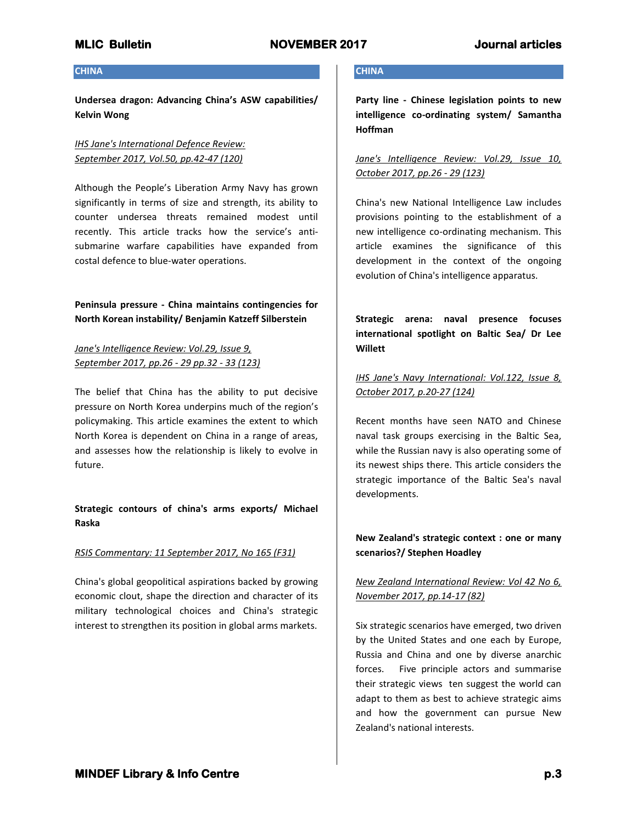## **CHINA**

**Undersea dragon: Advancing China's ASW capabilities/ Kelvin Wong**

## *IHS Jane's International Defence Review: September 2017, Vol.50, pp.42-47 (120)*

Although the People's Liberation Army Navy has grown significantly in terms of size and strength, its ability to counter undersea threats remained modest until recently. This article tracks how the service's antisubmarine warfare capabilities have expanded from costal defence to blue-water operations.

## **Peninsula pressure - China maintains contingencies for North Korean instability/ Benjamin Katzeff Silberstein**

*Jane's Intelligence Review: Vol.29, Issue 9, September 2017, pp.26 - 29 pp.32 - 33 (123)*

The belief that China has the ability to put decisive pressure on North Korea underpins much of the region's policymaking. This article examines the extent to which North Korea is dependent on China in a range of areas, and assesses how the relationship is likely to evolve in future.

## **Strategic contours of china's arms exports/ Michael Raska**

## *RSIS Commentary: 11 September 2017, No 165 (F31)*

China's global geopolitical aspirations backed by growing economic clout, shape the direction and character of its military technological choices and China's strategic interest to strengthen its position in global arms markets.

## **CHINA**

**Party line - Chinese legislation points to new intelligence co-ordinating system/ Samantha Hoffman**

## *Jane's Intelligence Review: Vol.29, Issue 10, October 2017, pp.26 - 29 (123)*

China's new National Intelligence Law includes provisions pointing to the establishment of a new intelligence co-ordinating mechanism. This article examines the significance of this development in the context of the ongoing evolution of China's intelligence apparatus.

**Strategic arena: naval presence focuses international spotlight on Baltic Sea/ Dr Lee Willett**

## *IHS Jane's Navy International: Vol.122, Issue 8, October 2017, p.20-27 (124)*

Recent months have seen NATO and Chinese naval task groups exercising in the Baltic Sea, while the Russian navy is also operating some of its newest ships there. This article considers the strategic importance of the Baltic Sea's naval developments.

## **New Zealand's strategic context : one or many scenarios?/ Stephen Hoadley**

## *New Zealand International Review: Vol 42 No 6, November 2017, pp.14-17 (82)*

Six strategic scenarios have emerged, two driven by the United States and one each by Europe, Russia and China and one by diverse anarchic forces. Five principle actors and summarise their strategic views ten suggest the world can adapt to them as best to achieve strategic aims and how the government can pursue New Zealand's national interests.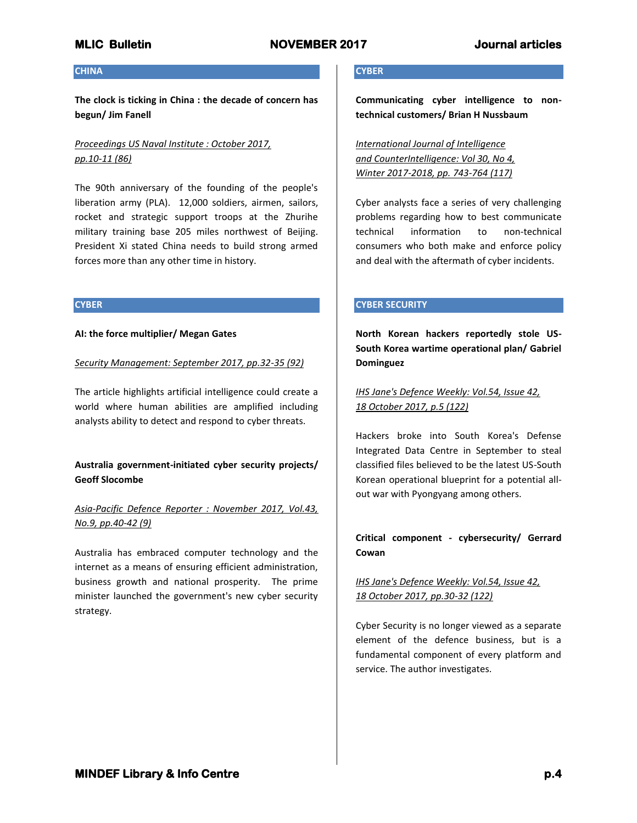#### **CHINA**

**The clock is ticking in China : the decade of concern has begun/ Jim Fanell**

# *Proceedings US Naval Institute : October 2017, pp.10-11 (86)*

The 90th anniversary of the founding of the people's liberation army (PLA). 12,000 soldiers, airmen, sailors, rocket and strategic support troops at the Zhurihe military training base 205 miles northwest of Beijing. President Xi stated China needs to build strong armed forces more than any other time in history.

### **CYBER**

## **AI: the force multiplier/ Megan Gates**

*Security Management: September 2017, pp.32-35 (92)*

The article highlights artificial intelligence could create a world where human abilities are amplified including analysts ability to detect and respond to cyber threats.

## **Australia government-initiated cyber security projects/ Geoff Slocombe**

# *Asia-Pacific Defence Reporter : November 2017, Vol.43, No.9, pp.40-42 (9)*

Australia has embraced computer technology and the internet as a means of ensuring efficient administration, business growth and national prosperity. The prime minister launched the government's new cyber security strategy.

## **CYBER**

**Communicating cyber intelligence to nontechnical customers/ Brian H Nussbaum**

*International Journal of Intelligence and CounterIntelligence: Vol 30, No 4, Winter 2017-2018, pp. 743-764 (117)*

Cyber analysts face a series of very challenging problems regarding how to best communicate technical information to non-technical consumers who both make and enforce policy and deal with the aftermath of cyber incidents.

## **CYBER SECURITY**

**North Korean hackers reportedly stole US-South Korea wartime operational plan/ Gabriel Dominguez**

*IHS Jane's Defence Weekly: Vol.54, Issue 42, 18 October 2017, p.5 (122)*

Hackers broke into South Korea's Defense Integrated Data Centre in September to steal classified files believed to be the latest US-South Korean operational blueprint for a potential allout war with Pyongyang among others.

## **Critical component - cybersecurity/ Gerrard Cowan**

## *IHS Jane's Defence Weekly: Vol.54, Issue 42, 18 October 2017, pp.30-32 (122)*

Cyber Security is no longer viewed as a separate element of the defence business, but is a fundamental component of every platform and service. The author investigates.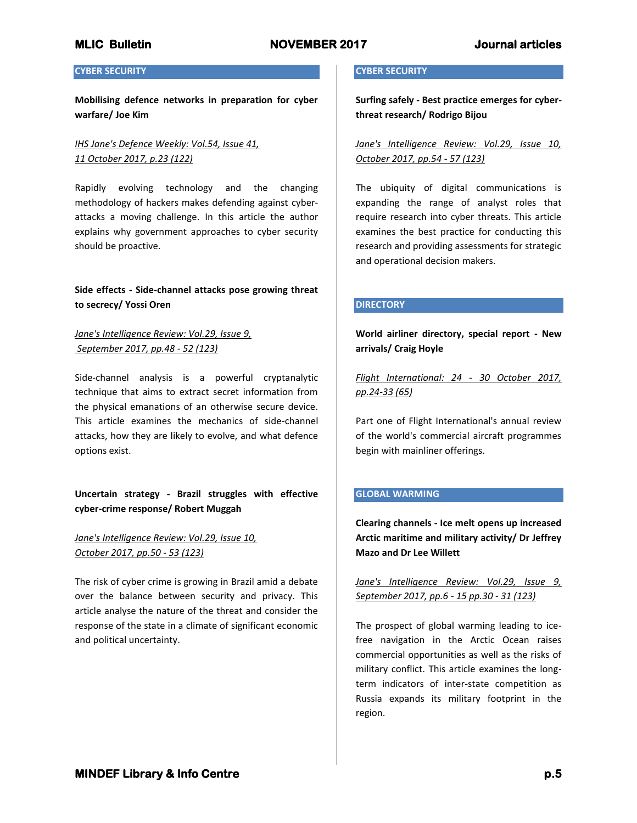## **CYBER SECURITY**

**Mobilising defence networks in preparation for cyber warfare/ Joe Kim**

## *IHS Jane's Defence Weekly: Vol.54, Issue 41, 11 October 2017, p.23 (122)*

Rapidly evolving technology and the changing methodology of hackers makes defending against cyberattacks a moving challenge. In this article the author explains why government approaches to cyber security should be proactive.

## **Side effects - Side-channel attacks pose growing threat to secrecy/ Yossi Oren**

## *Jane's Intelligence Review: Vol.29, Issue 9, September 2017, pp.48 - 52 (123)*

Side-channel analysis is a powerful cryptanalytic technique that aims to extract secret information from the physical emanations of an otherwise secure device. This article examines the mechanics of side-channel attacks, how they are likely to evolve, and what defence options exist.

## **Uncertain strategy - Brazil struggles with effective cyber-crime response/ Robert Muggah**

## *Jane's Intelligence Review: Vol.29, Issue 10, October 2017, pp.50 - 53 (123)*

The risk of cyber crime is growing in Brazil amid a debate over the balance between security and privacy. This article analyse the nature of the threat and consider the response of the state in a climate of significant economic and political uncertainty.

## **CYBER SECURITY**

**Surfing safely - Best practice emerges for cyberthreat research/ Rodrigo Bijou**

*Jane's Intelligence Review: Vol.29, Issue 10, October 2017, pp.54 - 57 (123)*

The ubiquity of digital communications is expanding the range of analyst roles that require research into cyber threats. This article examines the best practice for conducting this research and providing assessments for strategic and operational decision makers.

## **DIRECTORY**

**World airliner directory, special report - New arrivals/ Craig Hoyle**

*Flight International: 24 - 30 October 2017, pp.24-33 (65)*

Part one of Flight International's annual review of the world's commercial aircraft programmes begin with mainliner offerings.

## **GLOBAL WARMING**

**Clearing channels - Ice melt opens up increased Arctic maritime and military activity/ Dr Jeffrey Mazo and Dr Lee Willett**

*Jane's Intelligence Review: Vol.29, Issue 9, September 2017, pp.6 - 15 pp.30 - 31 (123)*

The prospect of global warming leading to icefree navigation in the Arctic Ocean raises commercial opportunities as well as the risks of military conflict. This article examines the longterm indicators of inter-state competition as Russia expands its military footprint in the region.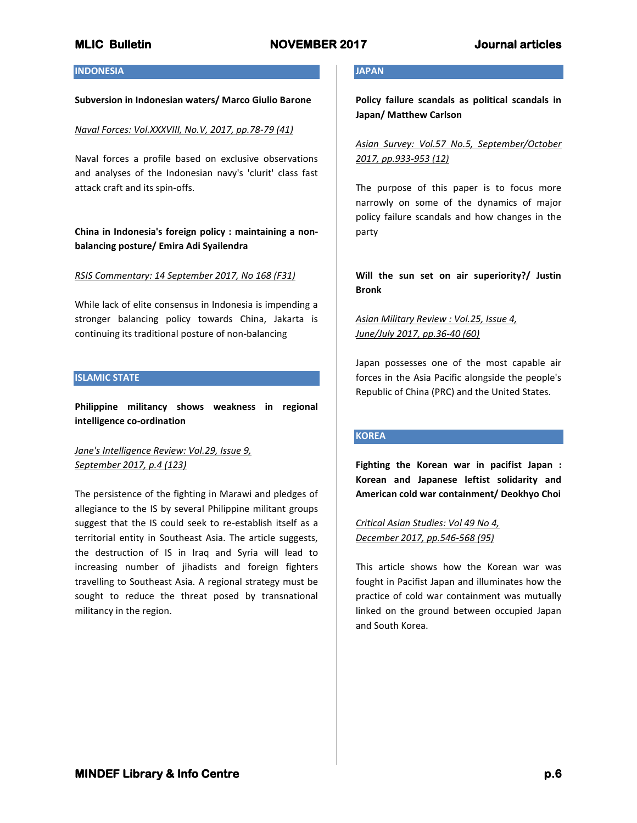#### **INDONESIA**

#### **Subversion in Indonesian waters/ Marco Giulio Barone**

#### *Naval Forces: Vol.XXXVIII, No.V, 2017, pp.78-79 (41)*

Naval forces a profile based on exclusive observations and analyses of the Indonesian navy's 'clurit' class fast attack craft and its spin-offs.

## **China in Indonesia's foreign policy : maintaining a nonbalancing posture/ Emira Adi Syailendra**

#### *RSIS Commentary: 14 September 2017, No 168 (F31)*

While lack of elite consensus in Indonesia is impending a stronger balancing policy towards China, Jakarta is continuing its traditional posture of non-balancing

#### **ISLAMIC STATE**

**Philippine militancy shows weakness in regional intelligence co-ordination**

*Jane's Intelligence Review: Vol.29, Issue 9, September 2017, p.4 (123)*

The persistence of the fighting in Marawi and pledges of allegiance to the IS by several Philippine militant groups suggest that the IS could seek to re-establish itself as a territorial entity in Southeast Asia. The article suggests, the destruction of IS in Iraq and Syria will lead to increasing number of jihadists and foreign fighters travelling to Southeast Asia. A regional strategy must be sought to reduce the threat posed by transnational militancy in the region.

## **JAPAN**

**Policy failure scandals as political scandals in Japan/ Matthew Carlson**

*Asian Survey: Vol.57 No.5, September/October 2017, pp.933-953 (12)*

The purpose of this paper is to focus more narrowly on some of the dynamics of major policy failure scandals and how changes in the party

**Will the sun set on air superiority?/ Justin Bronk**

## *Asian Military Review : Vol.25, Issue 4, June/July 2017, pp.36-40 (60)*

Japan possesses one of the most capable air forces in the Asia Pacific alongside the people's Republic of China (PRC) and the United States.

### **KOREA**

**Fighting the Korean war in pacifist Japan : Korean and Japanese leftist solidarity and American cold war containment/ Deokhyo Choi**

*Critical Asian Studies: Vol 49 No 4, December 2017, pp.546-568 (95)*

This article shows how the Korean war was fought in Pacifist Japan and illuminates how the practice of cold war containment was mutually linked on the ground between occupied Japan and South Korea.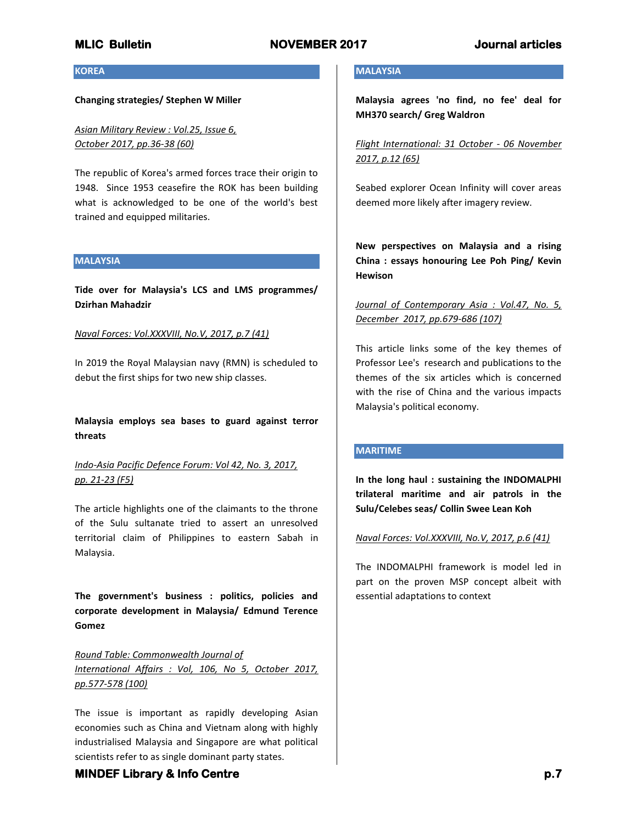**KOREA**

### **Changing strategies/ Stephen W Miller**

*Asian Military Review : Vol.25, Issue 6, October 2017, pp.36-38 (60)*

The republic of Korea's armed forces trace their origin to 1948. Since 1953 ceasefire the ROK has been building what is acknowledged to be one of the world's best trained and equipped militaries.

#### **MALAYSIA**

**Tide over for Malaysia's LCS and LMS programmes/ Dzirhan Mahadzir**

### *Naval Forces: Vol.XXXVIII, No.V, 2017, p.7 (41)*

In 2019 the Royal Malaysian navy (RMN) is scheduled to debut the first ships for two new ship classes.

## **Malaysia employs sea bases to guard against terror threats**

*Indo-Asia Pacific Defence Forum: Vol 42, No. 3, 2017, pp. 21-23 (F5)*

The article highlights one of the claimants to the throne of the Sulu sultanate tried to assert an unresolved territorial claim of Philippines to eastern Sabah in Malaysia.

**The government's business : politics, policies and corporate development in Malaysia/ Edmund Terence Gomez**

*Round Table: Commonwealth Journal of International Affairs : Vol, 106, No 5, October 2017, pp.577-578 (100)*

The issue is important as rapidly developing Asian economies such as China and Vietnam along with highly industrialised Malaysia and Singapore are what political scientists refer to as single dominant party states.

## **MALAYSIA**

**Malaysia agrees 'no find, no fee' deal for MH370 search/ Greg Waldron**

*Flight International: 31 October - 06 November 2017, p.12 (65)*

Seabed explorer Ocean Infinity will cover areas deemed more likely after imagery review.

**New perspectives on Malaysia and a rising China : essays honouring Lee Poh Ping/ Kevin Hewison**

## *Journal of Contemporary Asia : Vol.47, No. 5, December 2017, pp.679-686 (107)*

This article links some of the key themes of Professor Lee's research and publications to the themes of the six articles which is concerned with the rise of China and the various impacts Malaysia's political economy.

## **MARITIME**

**In the long haul : sustaining the INDOMALPHI trilateral maritime and air patrols in the Sulu/Celebes seas/ Collin Swee Lean Koh**

## *Naval Forces: Vol.XXXVIII, No.V, 2017, p.6 (41)*

The INDOMALPHI framework is model led in part on the proven MSP concept albeit with essential adaptations to context

## **MINDEF Library & Info Centre** *p.7* **<b>***p.7*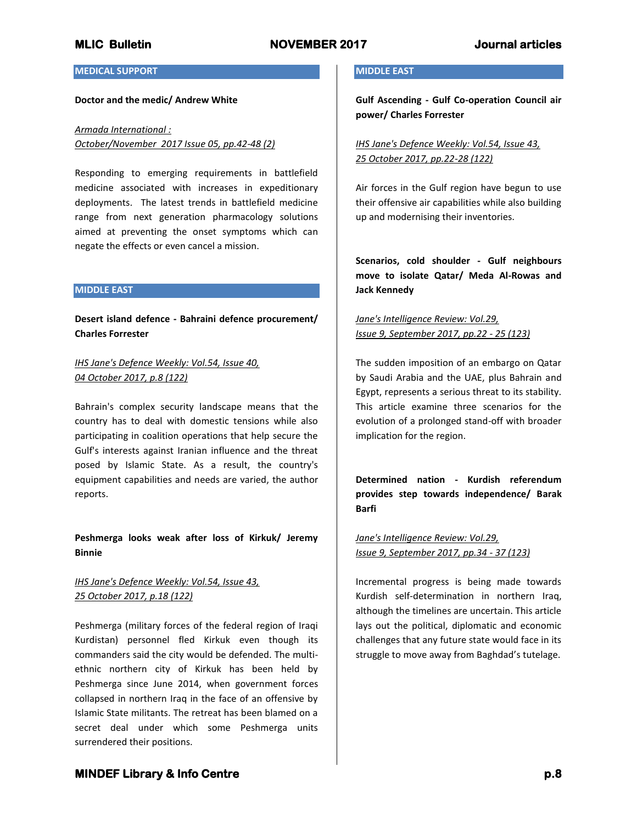### **MEDICAL SUPPORT**

#### **Doctor and the medic/ Andrew White**

## *Armada International : October/November 2017 Issue 05, pp.42-48 (2)*

Responding to emerging requirements in battlefield medicine associated with increases in expeditionary deployments. The latest trends in battlefield medicine range from next generation pharmacology solutions aimed at preventing the onset symptoms which can negate the effects or even cancel a mission.

### **MIDDLE EAST**

**Desert island defence - Bahraini defence procurement/ Charles Forrester**

## *IHS Jane's Defence Weekly: Vol.54, Issue 40, 04 October 2017, p.8 (122)*

Bahrain's complex security landscape means that the country has to deal with domestic tensions while also participating in coalition operations that help secure the Gulf's interests against Iranian influence and the threat posed by Islamic State. As a result, the country's equipment capabilities and needs are varied, the author reports.

## **Peshmerga looks weak after loss of Kirkuk/ Jeremy Binnie**

## *IHS Jane's Defence Weekly: Vol.54, Issue 43, 25 October 2017, p.18 (122)*

Peshmerga (military forces of the federal region of Iraqi Kurdistan) personnel fled Kirkuk even though its commanders said the city would be defended. The multiethnic northern city of Kirkuk has been held by Peshmerga since June 2014, when government forces collapsed in northern Iraq in the face of an offensive by Islamic State militants. The retreat has been blamed on a secret deal under which some Peshmerga units surrendered their positions.

## **MIDDLE EAST**

**Gulf Ascending - Gulf Co-operation Council air power/ Charles Forrester**

*IHS Jane's Defence Weekly: Vol.54, Issue 43, 25 October 2017, pp.22-28 (122)*

Air forces in the Gulf region have begun to use their offensive air capabilities while also building up and modernising their inventories.

**Scenarios, cold shoulder - Gulf neighbours move to isolate Qatar/ Meda Al-Rowas and Jack Kennedy**

## *Jane's Intelligence Review: Vol.29, Issue 9, September 2017, pp.22 - 25 (123)*

The sudden imposition of an embargo on Qatar by Saudi Arabia and the UAE, plus Bahrain and Egypt, represents a serious threat to its stability. This article examine three scenarios for the evolution of a prolonged stand-off with broader implication for the region.

**Determined nation - Kurdish referendum provides step towards independence/ Barak Barfi**

*Jane's Intelligence Review: Vol.29, Issue 9, September 2017, pp.34 - 37 (123)*

Incremental progress is being made towards Kurdish self-determination in northern Iraq, although the timelines are uncertain. This article lays out the political, diplomatic and economic challenges that any future state would face in its struggle to move away from Baghdad's tutelage.

# **MINDEF Library & Info Centre** *p.8* $p.8$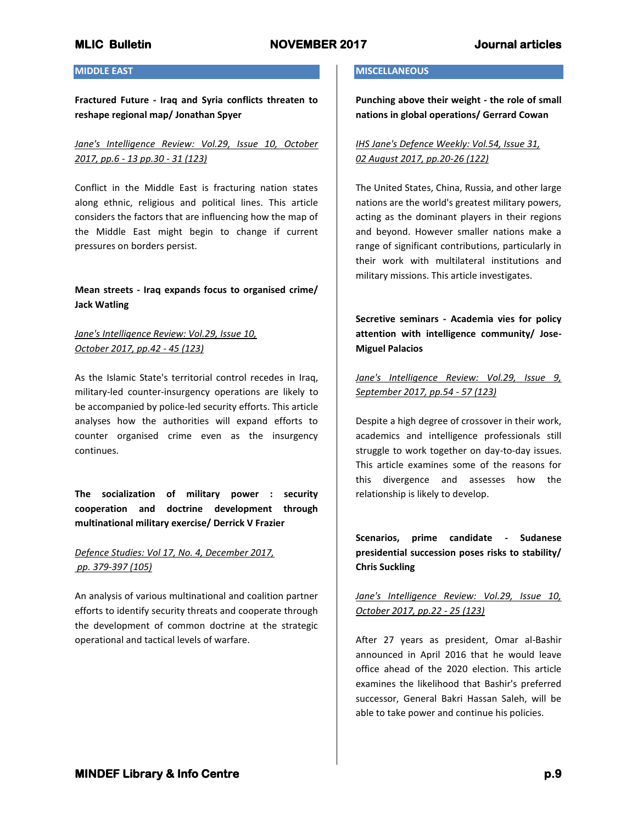## **MIDDLE EAST**

**Fractured Future - Iraq and Syria conflicts threaten to reshape regional map/ Jonathan Spyer**

## *Jane's Intelligence Review: Vol.29, Issue 10, October 2017, pp.6 - 13 pp.30 - 31 (123)*

Conflict in the Middle East is fracturing nation states along ethnic, religious and political lines. This article considers the factors that are influencing how the map of the Middle East might begin to change if current pressures on borders persist.

## **Mean streets - Iraq expands focus to organised crime/ Jack Watling**

## *Jane's Intelligence Review: Vol.29, Issue 10, October 2017, pp.42 - 45 (123)*

As the Islamic State's territorial control recedes in Iraq, military-led counter-insurgency operations are likely to be accompanied by police-led security efforts. This article analyses how the authorities will expand efforts to counter organised crime even as the insurgency continues.

**The socialization of military power : security cooperation and doctrine development through multinational military exercise/ Derrick V Frazier**

## *Defence Studies: Vol 17, No. 4, December 2017, pp. 379-397 (105)*

An analysis of various multinational and coalition partner efforts to identify security threats and cooperate through the development of common doctrine at the strategic operational and tactical levels of warfare.

## **MISCELLANEOUS**

**Punching above their weight - the role of small nations in global operations/ Gerrard Cowan**

## *IHS Jane's Defence Weekly: Vol.54, Issue 31, 02 August 2017, pp.20-26 (122)*

The United States, China, Russia, and other large nations are the world's greatest military powers, acting as the dominant players in their regions and beyond. However smaller nations make a range of significant contributions, particularly in their work with multilateral institutions and military missions. This article investigates.

**Secretive seminars - Academia vies for policy attention with intelligence community/ Jose-Miguel Palacios**

*Jane's Intelligence Review: Vol.29, Issue 9, September 2017, pp.54 - 57 (123)*

Despite a high degree of crossover in their work, academics and intelligence professionals still struggle to work together on day-to-day issues. This article examines some of the reasons for this divergence and assesses how the relationship is likely to develop.

**Scenarios, prime candidate - Sudanese presidential succession poses risks to stability/ Chris Suckling**

## *Jane's Intelligence Review: Vol.29, Issue 10, October 2017, pp.22 - 25 (123)*

After 27 years as president, Omar al-Bashir announced in April 2016 that he would leave office ahead of the 2020 election. This article examines the likelihood that Bashir's preferred successor, General Bakri Hassan Saleh, will be able to take power and continue his policies.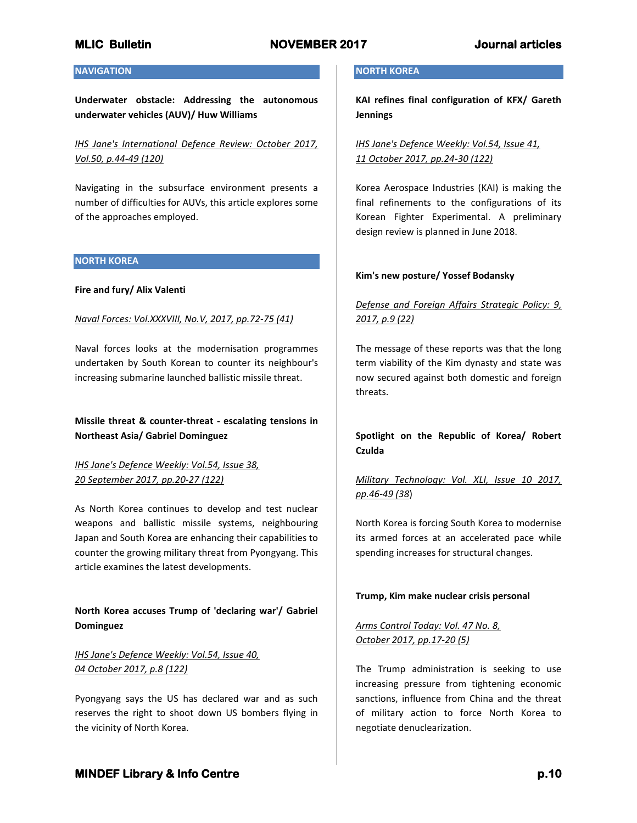## **NAVIGATION**

**Underwater obstacle: Addressing the autonomous underwater vehicles (AUV)/ Huw Williams**

*IHS Jane's International Defence Review: October 2017, Vol.50, p.44-49 (120)*

Navigating in the subsurface environment presents a number of difficulties for AUVs, this article explores some of the approaches employed.

### **NORTH KOREA**

## **Fire and fury/ Alix Valenti**

## *Naval Forces: Vol.XXXVIII, No.V, 2017, pp.72-75 (41)*

Naval forces looks at the modernisation programmes undertaken by South Korean to counter its neighbour's increasing submarine launched ballistic missile threat.

## **Missile threat & counter-threat - escalating tensions in Northeast Asia/ Gabriel Dominguez**

## *IHS Jane's Defence Weekly: Vol.54, Issue 38, 20 September 2017, pp.20-27 (122)*

As North Korea continues to develop and test nuclear weapons and ballistic missile systems, neighbouring Japan and South Korea are enhancing their capabilities to counter the growing military threat from Pyongyang. This article examines the latest developments.

## **North Korea accuses Trump of 'declaring war'/ Gabriel Dominguez**

# *IHS Jane's Defence Weekly: Vol.54, Issue 40, 04 October 2017, p.8 (122)*

Pyongyang says the US has declared war and as such reserves the right to shoot down US bombers flying in the vicinity of North Korea.

### **NORTH KOREA**

**KAI refines final configuration of KFX/ Gareth Jennings**

*IHS Jane's Defence Weekly: Vol.54, Issue 41, 11 October 2017, pp.24-30 (122)*

Korea Aerospace Industries (KAI) is making the final refinements to the configurations of its Korean Fighter Experimental. A preliminary design review is planned in June 2018.

## **Kim's new posture/ Yossef Bodansky**

# *Defense and Foreign Affairs Strategic Policy: 9, 2017, p.9 (22)*

The message of these reports was that the long term viability of the Kim dynasty and state was now secured against both domestic and foreign threats.

## **Spotlight on the Republic of Korea/ Robert Czulda**

## *Military Technology: Vol. XLI, Issue 10 2017, pp.46-49 (38*)

North Korea is forcing South Korea to modernise its armed forces at an accelerated pace while spending increases for structural changes.

### **Trump, Kim make nuclear crisis personal**

## *Arms Control Today: Vol. 47 No. 8, October 2017, pp.17-20 (5)*

The Trump administration is seeking to use increasing pressure from tightening economic sanctions, influence from China and the threat of military action to force North Korea to negotiate denuclearization.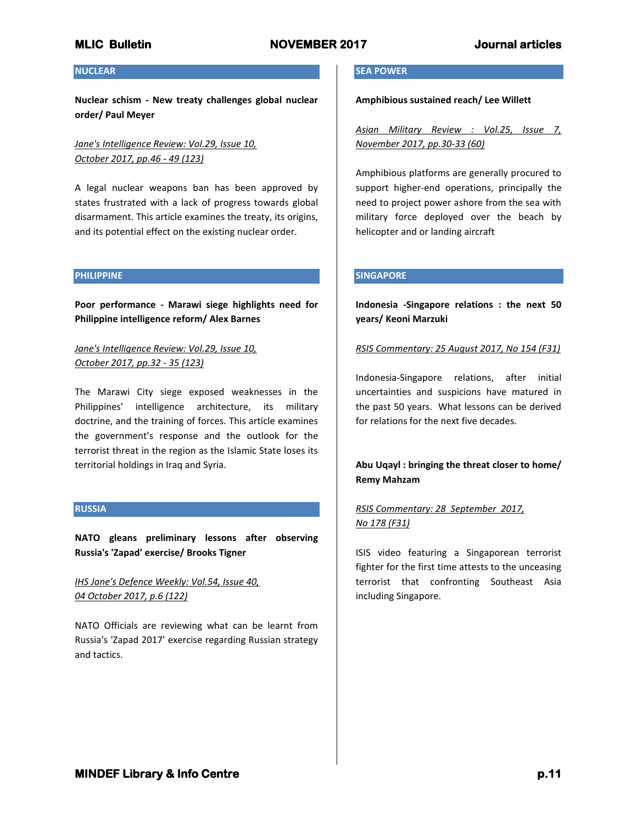## **NUCLEAR**

**Nuclear schism - New treaty challenges global nuclear order/ Paul Meyer**

*Jane's Intelligence Review: Vol.29, Issue 10, October 2017, pp.46 - 49 (123)*

A legal nuclear weapons ban has been approved by states frustrated with a lack of progress towards global disarmament. This article examines the treaty, its origins, and its potential effect on the existing nuclear order.

### **PHILIPPINE**

**Poor performance - Marawi siege highlights need for Philippine intelligence reform/ Alex Barnes**

*Jane's Intelligence Review: Vol.29, Issue 10, October 2017, pp.32 - 35 (123)*

The Marawi City siege exposed weaknesses in the Philippines' intelligence architecture, its military doctrine, and the training of forces. This article examines the government's response and the outlook for the terrorist threat in the region as the Islamic State loses its territorial holdings in Iraq and Syria.

## **RUSSIA**

**NATO gleans preliminary lessons after observing Russia's 'Zapad' exercise/ Brooks Tigner**

*IHS Jane's Defence Weekly: Vol.54, Issue 40, 04 October 2017, p.6 (122)*

NATO Officials are reviewing what can be learnt from Russia's 'Zapad 2017' exercise regarding Russian strategy and tactics.

### **SEA POWER**

**Amphibious sustained reach/ Lee Willett**

*Asian Military Review : Vol.25, Issue 7, November 2017, pp.30-33 (60)*

Amphibious platforms are generally procured to support higher-end operations, principally the need to project power ashore from the sea with military force deployed over the beach by helicopter and or landing aircraft

## **SINGAPORE**

**Indonesia -Singapore relations : the next 50 years/ Keoni Marzuki**

## *RSIS Commentary: 25 August 2017, No 154 (F31)*

Indonesia-Singapore relations, after initial uncertainties and suspicions have matured in the past 50 years. What lessons can be derived for relations for the next five decades.

**Abu Uqayl : bringing the threat closer to home/ Remy Mahzam**

# *RSIS Commentary: 28 September 2017, No 178 (F31)*

ISIS video featuring a Singaporean terrorist fighter for the first time attests to the unceasing terrorist that confronting Southeast Asia including Singapore.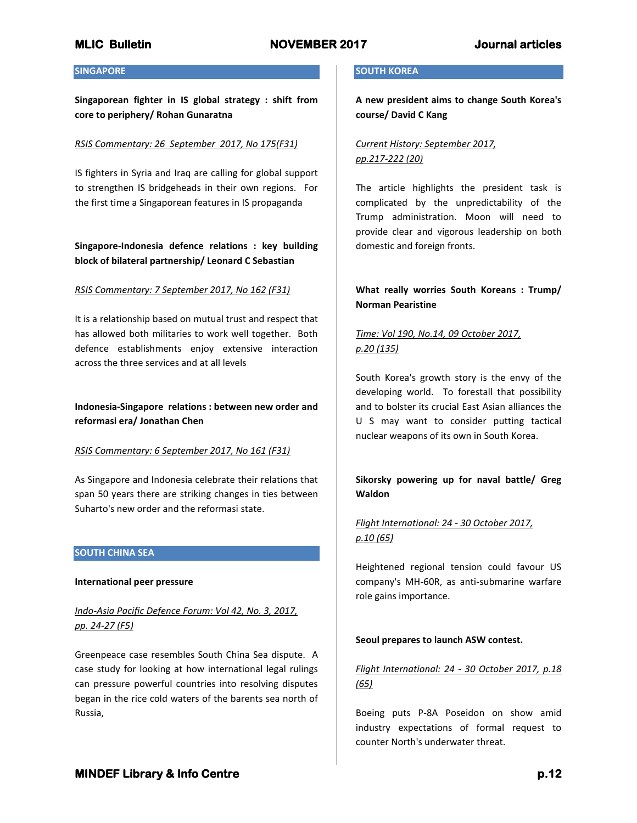## **SINGAPORE**

**Singaporean fighter in IS global strategy : shift from core to periphery/ Rohan Gunaratna**

## *RSIS Commentary: 26 September 2017, No 175(F31)*

IS fighters in Syria and Iraq are calling for global support to strengthen IS bridgeheads in their own regions. For the first time a Singaporean features in IS propaganda

## **Singapore-Indonesia defence relations : key building block of bilateral partnership/ Leonard C Sebastian**

## *RSIS Commentary: 7 September 2017, No 162 (F31)*

It is a relationship based on mutual trust and respect that has allowed both militaries to work well together. Both defence establishments enjoy extensive interaction across the three services and at all levels

## **Indonesia-Singapore relations : between new order and reformasi era/ Jonathan Chen**

## *RSIS Commentary: 6 September 2017, No 161 (F31)*

As Singapore and Indonesia celebrate their relations that span 50 years there are striking changes in ties between Suharto's new order and the reformasi state.

## **SOUTH CHINA SEA**

### **International peer pressure**

## *Indo-Asia Pacific Defence Forum: Vol 42, No. 3, 2017, pp. 24-27 (F5)*

Greenpeace case resembles South China Sea dispute. A case study for looking at how international legal rulings can pressure powerful countries into resolving disputes began in the rice cold waters of the barents sea north of Russia,

### **SOUTH KOREA**

**A new president aims to change South Korea's course/ David C Kang**

## *Current History: September 2017, pp.217-222 (20)*

The article highlights the president task is complicated by the unpredictability of the Trump administration. Moon will need to provide clear and vigorous leadership on both domestic and foreign fronts.

## **What really worries South Koreans : Trump/ Norman Pearistine**

# *Time: Vol 190, No.14, 09 October 2017, p.20 (135)*

South Korea's growth story is the envy of the developing world. To forestall that possibility and to bolster its crucial East Asian alliances the U S may want to consider putting tactical nuclear weapons of its own in South Korea.

## **Sikorsky powering up for naval battle/ Greg Waldon**

# *Flight International: 24 - 30 October 2017, p.10 (65)*

Heightened regional tension could favour US company's MH-60R, as anti-submarine warfare role gains importance.

## **Seoul prepares to launch ASW contest.**

# *Flight International: 24 - 30 October 2017, p.18 (65)*

Boeing puts P-8A Poseidon on show amid industry expectations of formal request to counter North's underwater threat.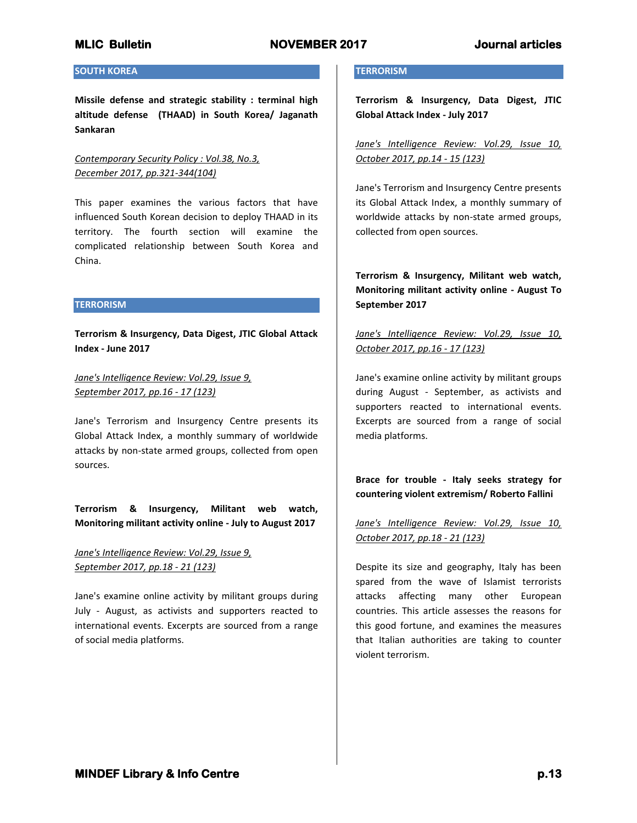## **SOUTH KOREA**

**Missile defense and strategic stability : terminal high altitude defense (THAAD) in South Korea/ Jaganath Sankaran**

*Contemporary Security Policy : Vol.38, No.3, December 2017, pp.321-344(104)*

This paper examines the various factors that have influenced South Korean decision to deploy THAAD in its territory. The fourth section will examine the complicated relationship between South Korea and China.

## **TERRORISM**

**Terrorism & Insurgency, Data Digest, JTIC Global Attack Index - June 2017**

*Jane's Intelligence Review: Vol.29, Issue 9, September 2017, pp.16 - 17 (123)*

Jane's Terrorism and Insurgency Centre presents its Global Attack Index, a monthly summary of worldwide attacks by non-state armed groups, collected from open sources.

**Terrorism & Insurgency, Militant web watch, Monitoring militant activity online - July to August 2017**

*Jane's Intelligence Review: Vol.29, Issue 9, September 2017, pp.18 - 21 (123)*

Jane's examine online activity by militant groups during July - August, as activists and supporters reacted to international events. Excerpts are sourced from a range of social media platforms.

### **TERRORISM**

**Terrorism & Insurgency, Data Digest, JTIC Global Attack Index - July 2017**

*Jane's Intelligence Review: Vol.29, Issue 10, October 2017, pp.14 - 15 (123)*

Jane's Terrorism and Insurgency Centre presents its Global Attack Index, a monthly summary of worldwide attacks by non-state armed groups, collected from open sources.

**Terrorism & Insurgency, Militant web watch, Monitoring militant activity online - August To September 2017**

*Jane's Intelligence Review: Vol.29, Issue 10, October 2017, pp.16 - 17 (123)*

Jane's examine online activity by militant groups during August - September, as activists and supporters reacted to international events. Excerpts are sourced from a range of social media platforms.

**Brace for trouble - Italy seeks strategy for countering violent extremism/ Roberto Fallini**

*Jane's Intelligence Review: Vol.29, Issue 10, October 2017, pp.18 - 21 (123)*

Despite its size and geography, Italy has been spared from the wave of Islamist terrorists attacks affecting many other European countries. This article assesses the reasons for this good fortune, and examines the measures that Italian authorities are taking to counter violent terrorism.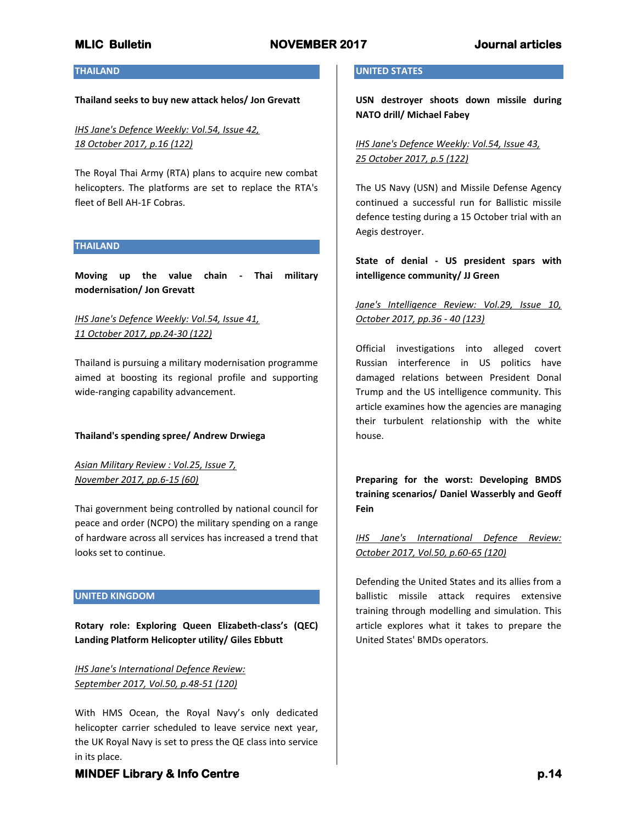### **THAILAND**

#### **Thailand seeks to buy new attack helos/ Jon Grevatt**

*IHS Jane's Defence Weekly: Vol.54, Issue 42, 18 October 2017, p.16 (122)*

The Royal Thai Army (RTA) plans to acquire new combat helicopters. The platforms are set to replace the RTA's fleet of Bell AH-1F Cobras.

### **THAILAND**

**Moving up the value chain - Thai military modernisation/ Jon Grevatt**

## *IHS Jane's Defence Weekly: Vol.54, Issue 41, 11 October 2017, pp.24-30 (122)*

Thailand is pursuing a military modernisation programme aimed at boosting its regional profile and supporting wide-ranging capability advancement.

### **Thailand's spending spree/ Andrew Drwiega**

*Asian Military Review : Vol.25, Issue 7, November 2017, pp.6-15 (60)*

Thai government being controlled by national council for peace and order (NCPO) the military spending on a range of hardware across all services has increased a trend that looks set to continue.

### **UNITED KINGDOM**

**Rotary role: Exploring Queen Elizabeth-class's (QEC) Landing Platform Helicopter utility/ Giles Ebbutt**

*IHS Jane's International Defence Review: September 2017, Vol.50, p.48-51 (120)*

With HMS Ocean, the Royal Navy's only dedicated helicopter carrier scheduled to leave service next year, the UK Royal Navy is set to press the QE class into service in its place.

### **UNITED STATES**

**USN destroyer shoots down missile during NATO drill/ Michael Fabey**

*IHS Jane's Defence Weekly: Vol.54, Issue 43, 25 October 2017, p.5 (122)*

The US Navy (USN) and Missile Defense Agency continued a successful run for Ballistic missile defence testing during a 15 October trial with an Aegis destroyer.

**State of denial - US president spars with intelligence community/ JJ Green**

## *Jane's Intelligence Review: Vol.29, Issue 10, October 2017, pp.36 - 40 (123)*

Official investigations into alleged covert Russian interference in US politics have damaged relations between President Donal Trump and the US intelligence community. This article examines how the agencies are managing their turbulent relationship with the white house.

**Preparing for the worst: Developing BMDS training scenarios/ Daniel Wasserbly and Geoff Fein**

*IHS Jane's International Defence Review: October 2017, Vol.50, p.60-65 (120)*

Defending the United States and its allies from a ballistic missile attack requires extensive training through modelling and simulation. This article explores what it takes to prepare the United States' BMDs operators.